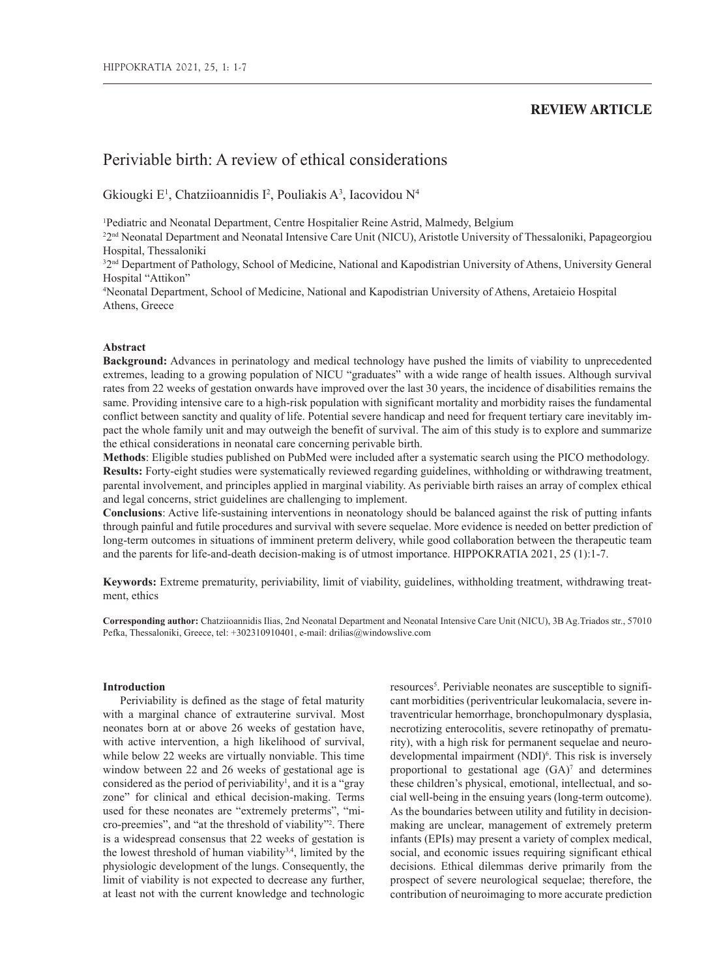## **REVIEW ARTICLE**

# Periviable birth: A review of ethical considerations

Gkiougki E<sup>1</sup>, Chatziioannidis I<sup>2</sup>, Pouliakis A<sup>3</sup>, Iacovidou N<sup>4</sup>

1 Pediatric and Neonatal Department, Centre Hospitalier Reine Astrid, Malmedy, Belgium

<sup>22nd</sup> Neonatal Department and Neonatal Intensive Care Unit (NICU), Aristotle University of Thessaloniki, Papageorgiou Hospital, Thessaloniki

<sup>32nd</sup> Department of Pathology, School of Medicine, National and Kapodistrian University of Athens, University General Hospital "Attikon"

4 Neonatal Department, School of Medicine, National and Kapodistrian University of Athens, Aretaieio Hospital Athens, Greece

## **Abstract**

**Background:** Advances in perinatology and medical technology have pushed the limits of viability to unprecedented extremes, leading to a growing population of NICU "graduates" with a wide range of health issues. Although survival rates from 22 weeks of gestation onwards have improved over the last 30 years, the incidence of disabilities remains the same. Providing intensive care to a high-risk population with significant mortality and morbidity raises the fundamental conflict between sanctity and quality of life. Potential severe handicap and need for frequent tertiary care inevitably impact the whole family unit and may outweigh the benefit of survival. The aim of this study is to explore and summarize the ethical considerations in neonatal care concerning perivable birth.

**Methods**: Eligible studies published on PubMed were included after a systematic search using the PICO methodology. **Results:** Forty-eight studies were systematically reviewed regarding guidelines, withholding or withdrawing treatment, parental involvement, and principles applied in marginal viability. As periviable birth raises an array of complex ethical and legal concerns, strict guidelines are challenging to implement.

**Conclusions**: Active life-sustaining interventions in neonatology should be balanced against the risk of putting infants through painful and futile procedures and survival with severe sequelae. More evidence is needed on better prediction of long-term outcomes in situations of imminent preterm delivery, while good collaboration between the therapeutic team and the parents for life-and-death decision-making is of utmost importance. HIPPOKRATIA 2021, 25 (1):1-7.

**Keywords:** Extreme prematurity, periviability, limit of viability, guidelines, withholding treatment, withdrawing treatment, ethics

**Corresponding author:** Chatziioannidis Ilias, 2nd Neonatal Department and Neonatal Intensive Care Unit (NICU), 3B Ag.Triados str., 57010 Pefka, Thessaloniki, Greece, tel: +302310910401, e-mail: drilias@windowslive.com

## **Introduction**

Periviability is defined as the stage of fetal maturity with a marginal chance of extrauterine survival. Most neonates born at or above 26 weeks of gestation have, with active intervention, a high likelihood of survival, while below 22 weeks are virtually nonviable. This time window between 22 and 26 weeks of gestational age is considered as the period of periviability<sup>1</sup>, and it is a "gray" zone" for clinical and ethical decision-making. Terms used for these neonates are "extremely preterms", "micro-preemies", and "at the threshold of viability"2 . There is a widespread consensus that 22 weeks of gestation is the lowest threshold of human viability $3,4$ , limited by the physiologic development of the lungs. Consequently, the limit of viability is not expected to decrease any further, at least not with the current knowledge and technologic

resources<sup>5</sup>. Periviable neonates are susceptible to significant morbidities (periventricular leukomalacia, severe intraventricular hemorrhage, bronchopulmonary dysplasia, necrotizing enterocolitis, severe retinopathy of prematurity), with a high risk for permanent sequelae and neurodevelopmental impairment (NDI)<sup>6</sup>. This risk is inversely proportional to gestational age  $(GA)^7$  and determines these children's physical, emotional, intellectual, and social well-being in the ensuing years (long-term outcome). As the boundaries between utility and futility in decisionmaking are unclear, management of extremely preterm infants (EPIs) may present a variety of complex medical, social, and economic issues requiring significant ethical decisions. Ethical dilemmas derive primarily from the prospect of severe neurological sequelae; therefore, the contribution of neuroimaging to more accurate prediction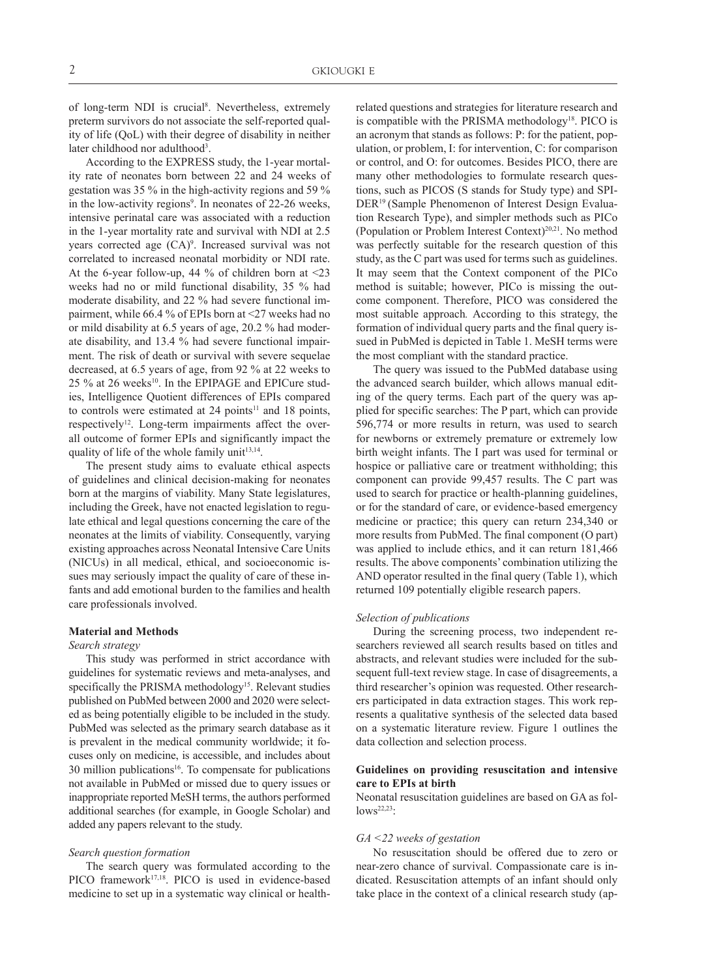of long-term NDI is crucial<sup>8</sup>. Nevertheless, extremely preterm survivors do not associate the self-reported quality of life (QoL) with their degree of disability in neither later childhood nor adulthood<sup>3</sup>.

According to the EXPRESS study, the 1-year mortality rate of neonates born between 22 and 24 weeks of gestation was 35 % in the high-activity regions and 59 % in the low-activity regions<sup>9</sup>. In neonates of 22-26 weeks, intensive perinatal care was associated with a reduction in the 1-year mortality rate and survival with NDI at 2.5 years corrected age  $(CA)^9$ . Increased survival was not correlated to increased neonatal morbidity or NDI rate. At the 6-year follow-up, 44 % of children born at <23 weeks had no or mild functional disability, 35 % had moderate disability, and 22 % had severe functional impairment, while 66.4 % of EPIs born at <27 weeks had no or mild disability at 6.5 years of age, 20.2 % had moderate disability, and 13.4 % had severe functional impairment. The risk of death or survival with severe sequelae decreased, at 6.5 years of age, from 92 % at 22 weeks to 25 % at 26 weeks<sup>10</sup>. In the EPIPAGE and EPICure studies, Intelligence Quotient differences of EPIs compared to controls were estimated at  $24$  points<sup>11</sup> and 18 points, respectively<sup>12</sup>. Long-term impairments affect the overall outcome of former EPIs and significantly impact the quality of life of the whole family unit<sup>13,14</sup>.

The present study aims to evaluate ethical aspects of guidelines and clinical decision-making for neonates born at the margins of viability. Many State legislatures, including the Greek, have not enacted legislation to regulate ethical and legal questions concerning the care of the neonates at the limits of viability. Consequently, varying existing approaches across Neonatal Intensive Care Units (NICUs) in all medical, ethical, and socioeconomic issues may seriously impact the quality of care of these infants and add emotional burden to the families and health care professionals involved.

## **Material and Methods**

#### *Search strategy*

This study was performed in strict accordance with guidelines for systematic reviews and meta-analyses, and specifically the PRISMA methodology<sup>15</sup>. Relevant studies published on PubMed between 2000 and 2020 were selected as being potentially eligible to be included in the study. PubMed was selected as the primary search database as it is prevalent in the medical community worldwide; it focuses only on medicine, is accessible, and includes about 30 million publications<sup>16</sup>. To compensate for publications not available in PubMed or missed due to query issues or inappropriate reported MeSH terms, the authors performed additional searches (for example, in Google Scholar) and added any papers relevant to the study.

#### *Search question formation*

The search query was formulated according to the PICO framework<sup>17,18</sup>. PICO is used in evidence-based medicine to set up in a systematic way clinical or healthrelated questions and strategies for literature research and is compatible with the PRISMA methodology<sup>18</sup>. PICO is an acronym that stands as follows: P: for the patient, population, or problem, I: for intervention, C: for comparison or control, and O: for outcomes. Besides PICO, there are many other methodologies to formulate research questions, such as PICOS (S stands for Study type) and SPI-DER19 (Sample Phenomenon of Interest Design Evaluation Research Type), and simpler methods such as PICo (Population or Problem Interest Context)20,21. No method was perfectly suitable for the research question of this study, as the C part was used for terms such as guidelines. It may seem that the Context component of the PICo method is suitable; however, PICo is missing the outcome component. Therefore, PICO was considered the most suitable approach*.* According to this strategy, the formation of individual query parts and the final query issued in PubMed is depicted in Table 1. MeSH terms were the most compliant with the standard practice.

The query was issued to the PubMed database using the advanced search builder, which allows manual editing of the query terms. Each part of the query was applied for specific searches: The P part, which can provide 596,774 or more results in return, was used to search for newborns or extremely premature or extremely low birth weight infants. The I part was used for terminal or hospice or palliative care or treatment withholding; this component can provide 99,457 results. The C part was used to search for practice or health-planning guidelines, or for the standard of care, or evidence-based emergency medicine or practice; this query can return 234,340 or more results from PubMed. The final component (O part) was applied to include ethics, and it can return 181,466 results. The above components' combination utilizing the AND operator resulted in the final query (Table 1), which returned 109 potentially eligible research papers.

#### *Selection of publications*

During the screening process, two independent researchers reviewed all search results based on titles and abstracts, and relevant studies were included for the subsequent full-text review stage. In case of disagreements, a third researcher's opinion was requested. Other researchers participated in data extraction stages. This work represents a qualitative synthesis of the selected data based on a systematic literature review. Figure 1 outlines the data collection and selection process.

## **Guidelines on providing resuscitation and intensive care to EPIs at birth**

Neonatal resuscitation guidelines are based on GA as follows<sup>22,23</sup>:

## *GA <22 weeks of gestation*

No resuscitation should be offered due to zero or near-zero chance of survival. Compassionate care is indicated. Resuscitation attempts of an infant should only take place in the context of a clinical research study (ap-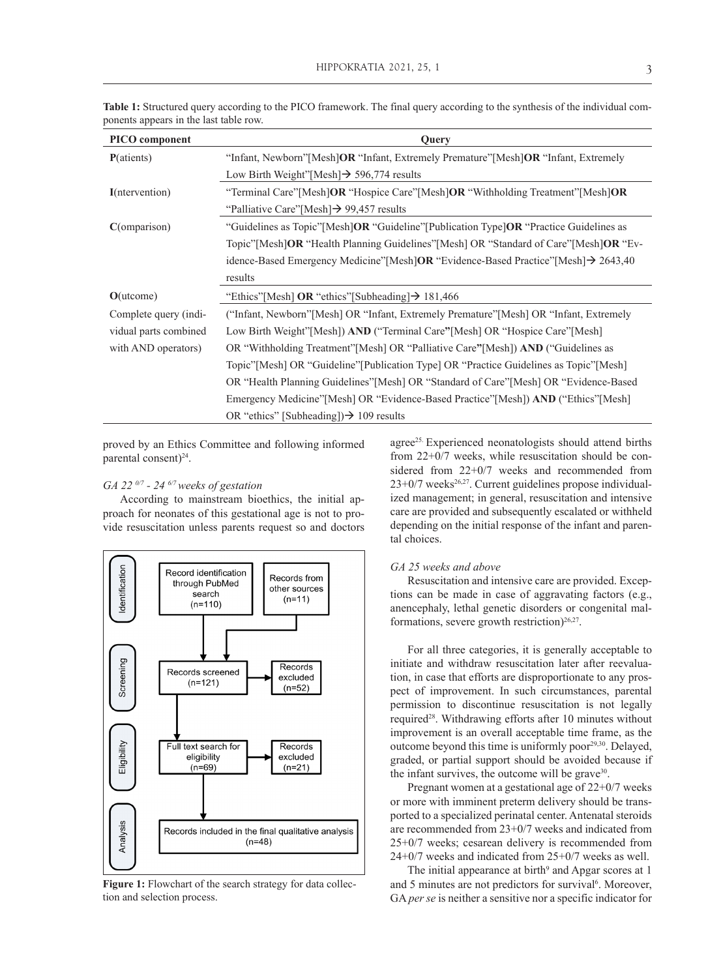| PICO component         | Query                                                                                                                                                                     |  |  |  |
|------------------------|---------------------------------------------------------------------------------------------------------------------------------------------------------------------------|--|--|--|
| P(atients)             | "Infant, Newborn" [Mesh]OR "Infant, Extremely Premature" [Mesh]OR "Infant, Extremely                                                                                      |  |  |  |
|                        | Low Birth Weight"[Mesh] $\rightarrow$ 596,774 results                                                                                                                     |  |  |  |
| <b>I</b> (ntervention) | "Terminal Care"[Mesh]OR "Hospice Care"[Mesh]OR "Withholding Treatment"[Mesh]OR                                                                                            |  |  |  |
|                        | "Palliative Care" [Mesh] $\rightarrow$ 99,457 results                                                                                                                     |  |  |  |
| C(omparison)           | "Guidelines as Topic"[Mesh]OR "Guideline"[Publication Type]OR "Practice Guidelines as                                                                                     |  |  |  |
|                        | Topic"[Mesh]OR "Health Planning Guidelines"[Mesh] OR "Standard of Care"[Mesh]OR "Ev-                                                                                      |  |  |  |
|                        | idence-Based Emergency Medicine" [Mesh] OR "Evidence-Based Practice" [Mesh] $\rightarrow$ 2643,40                                                                         |  |  |  |
|                        | results                                                                                                                                                                   |  |  |  |
| $O($ utcome $)$        | "Ethics"[Mesh] OR "ethics"[Subheading] $\rightarrow$ 181,466                                                                                                              |  |  |  |
| Complete query (indi-  | ("Infant, Newborn" [Mesh] OR "Infant, Extremely Premature" [Mesh] OR "Infant, Extremely<br>Low Birth Weight" [Mesh]) AND ("Terminal Care" [Mesh] OR "Hospice Care" [Mesh] |  |  |  |
| vidual parts combined  |                                                                                                                                                                           |  |  |  |
| with AND operators)    | OR "Withholding Treatment" [Mesh] OR "Palliative Care" [Mesh]) AND ("Guidelines as                                                                                        |  |  |  |
|                        | Topic"[Mesh] OR "Guideline"[Publication Type] OR "Practice Guidelines as Topic"[Mesh]                                                                                     |  |  |  |
|                        | OR "Health Planning Guidelines" [Mesh] OR "Standard of Care" [Mesh] OR "Evidence-Based                                                                                    |  |  |  |
|                        | Emergency Medicine" [Mesh] OR "Evidence-Based Practice" [Mesh] AND ("Ethics" [Mesh]                                                                                       |  |  |  |
|                        | OR "ethics" [Subheading]) $\rightarrow$ 109 results                                                                                                                       |  |  |  |

**Table 1:** Structured query according to the PICO framework. The final query according to the synthesis of the individual components appears in the last table row.

proved by an Ethics Committee and following informed parental consent)<sup>24</sup>.

## *GA 22 0/7 - 24 6/7 weeks of gestation*

According to mainstream bioethics, the initial approach for neonates of this gestational age is not to provide resuscitation unless parents request so and doctors



Figure 1: Flowchart of the search strategy for data collection and selection process.

agree<sup>25.</sup> Experienced neonatologists should attend births from 22+0/7 weeks, while resuscitation should be considered from 22+0/7 weeks and recommended from  $23+0/7$  weeks<sup>26,27</sup>. Current guidelines propose individualized management; in general, resuscitation and intensive care are provided and subsequently escalated or withheld depending on the initial response of the infant and parental choices.

## *GA 25 weeks and above*

Resuscitation and intensive care are provided. Exceptions can be made in case of aggravating factors (e.g., anencephaly, lethal genetic disorders or congenital malformations, severe growth restriction) $26,27$ .

For all three categories, it is generally acceptable to initiate and withdraw resuscitation later after reevaluation, in case that efforts are disproportionate to any prospect of improvement. In such circumstances, parental permission to discontinue resuscitation is not legally required28. Withdrawing efforts after 10 minutes without improvement is an overall acceptable time frame, as the outcome beyond this time is uniformly poor $29,30$ . Delayed, graded, or partial support should be avoided because if the infant survives, the outcome will be grave $30$ .

Pregnant women at a gestational age of 22+0/7 weeks or more with imminent preterm delivery should be transported to a specialized perinatal center. Antenatal steroids are recommended from 23+0/7 weeks and indicated from 25+0/7 weeks; cesarean delivery is recommended from 24+0/7 weeks and indicated from 25+0/7 weeks as well.

The initial appearance at birth<sup>9</sup> and Apgar scores at 1 and 5 minutes are not predictors for survival<sup>6</sup>. Moreover, GA *per se* is neither a sensitive nor a specific indicator for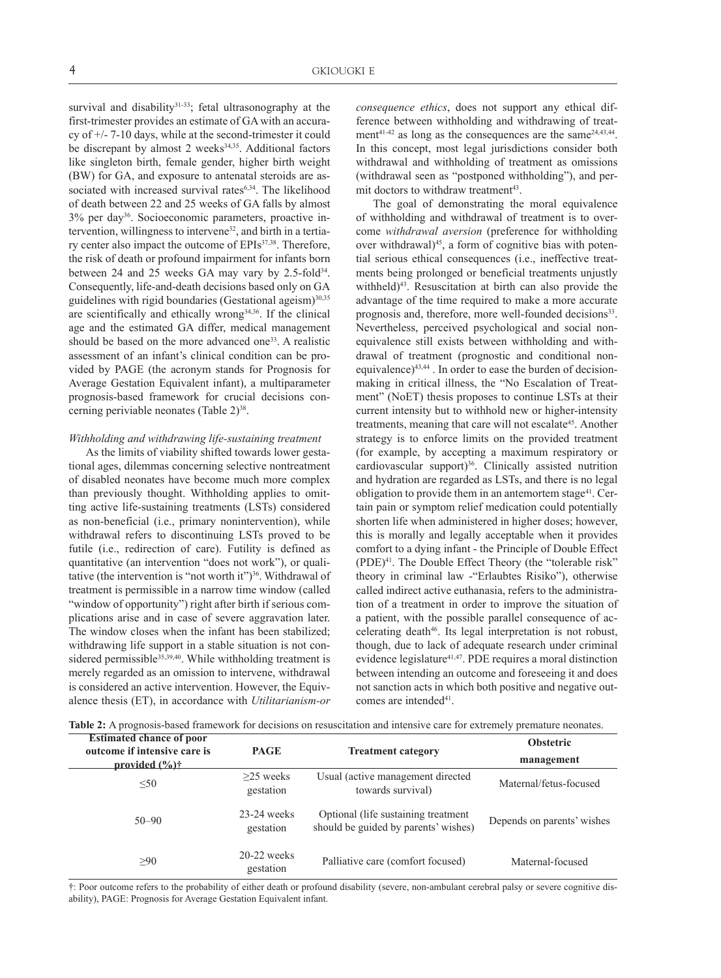survival and disability $31-33$ ; fetal ultrasonography at the first-trimester provides an estimate of GA with an accuracy of +/- 7-10 days, while at the second-trimester it could be discrepant by almost  $2$  weeks $34,35$ . Additional factors like singleton birth, female gender, higher birth weight (BW) for GA, and exposure to antenatal steroids are associated with increased survival rates<sup>6,34</sup>. The likelihood of death between 22 and 25 weeks of GA falls by almost 3% per day36. Socioeconomic parameters, proactive intervention, willingness to intervene32, and birth in a tertiary center also impact the outcome of EPIs<sup>37,38</sup>. Therefore, the risk of death or profound impairment for infants born between 24 and 25 weeks GA may vary by 2.5-fold<sup>34</sup>. Consequently, life-and-death decisions based only on GA guidelines with rigid boundaries (Gestational ageism) $30,35$ are scientifically and ethically wrong<sup>34,36</sup>. If the clinical age and the estimated GA differ, medical management should be based on the more advanced one<sup>33</sup>. A realistic assessment of an infant's clinical condition can be provided by PAGE (the acronym stands for Prognosis for Average Gestation Equivalent infant), a multiparameter prognosis-based framework for crucial decisions concerning periviable neonates (Table 2)<sup>38</sup>.

## *Withholding and withdrawing life-sustaining treatment*

As the limits of viability shifted towards lower gestational ages, dilemmas concerning selective nontreatment of disabled neonates have become much more complex than previously thought. Withholding applies to omitting active life-sustaining treatments (LSTs) considered as non-beneficial (i.e., primary nonintervention), while withdrawal refers to discontinuing LSTs proved to be futile (i.e., redirection of care). Futility is defined as quantitative (an intervention "does not work"), or qualitative (the intervention is "not worth it")<sup>36</sup>. Withdrawal of treatment is permissible in a narrow time window (called "window of opportunity") right after birth if serious complications arise and in case of severe aggravation later. The window closes when the infant has been stabilized; withdrawing life support in a stable situation is not considered permissible<sup>35,39,40</sup>. While withholding treatment is merely regarded as an omission to intervene, withdrawal is considered an active intervention. However, the Equivalence thesis (ET), in accordance with *Utilitarianism-or* 

*consequence ethics*, does not support any ethical difference between withholding and withdrawing of treatment<sup>41-42</sup> as long as the consequences are the same<sup>24,43,44</sup>. In this concept, most legal jurisdictions consider both withdrawal and withholding of treatment as omissions (withdrawal seen as "postponed withholding"), and permit doctors to withdraw treatment<sup>43</sup>.

The goal of demonstrating the moral equivalence of withholding and withdrawal of treatment is to overcome *withdrawal aversion* (preference for withholding over withdrawal $)^{45}$ , a form of cognitive bias with potential serious ethical consequences (i.e., ineffective treatments being prolonged or beneficial treatments unjustly withheld)<sup>43</sup>. Resuscitation at birth can also provide the advantage of the time required to make a more accurate prognosis and, therefore, more well-founded decisions<sup>33</sup>. Nevertheless, perceived psychological and social nonequivalence still exists between withholding and withdrawal of treatment (prognostic and conditional nonequivalence)43,44 . In order to ease the burden of decisionmaking in critical illness, the "No Escalation of Treatment" (NoET) thesis proposes to continue LSTs at their current intensity but to withhold new or higher-intensity treatments, meaning that care will not escalate<sup>45</sup>. Another strategy is to enforce limits on the provided treatment (for example, by accepting a maximum respiratory or cardiovascular support)<sup>36</sup>. Clinically assisted nutrition and hydration are regarded as LSTs, and there is no legal obligation to provide them in an antemortem stage<sup>41</sup>. Certain pain or symptom relief medication could potentially shorten life when administered in higher doses; however, this is morally and legally acceptable when it provides comfort to a dying infant - the Principle of Double Effect (PDE)41. The Double Effect Theory (the "tolerable risk" theory in criminal law -"Erlaubtes Risiko"), otherwise called indirect active euthanasia, refers to the administration of a treatment in order to improve the situation of a patient, with the possible parallel consequence of accelerating death<sup>46</sup>. Its legal interpretation is not robust, though, due to lack of adequate research under criminal evidence legislature<sup>41,47</sup>. PDE requires a moral distinction between intending an outcome and foreseeing it and does not sanction acts in which both positive and negative outcomes are intended<sup>41</sup>.

**Table 2:** A prognosis-based framework for decisions on resuscitation and intensive care for extremely premature neonates.

| <b>Estimated chance of poor</b><br>outcome if intensive care is | <b>PAGE</b>                | <b>Treatment category</b>                                                    | <b>Obstetric</b>           |
|-----------------------------------------------------------------|----------------------------|------------------------------------------------------------------------------|----------------------------|
| provided $(\frac{6}{6})\dagger$                                 |                            |                                                                              | management                 |
| < 50                                                            | $>25$ weeks<br>gestation   | Usual (active management directed<br>towards survival)                       | Maternal/fetus-focused     |
| $50 - 90$                                                       | $23-24$ weeks<br>gestation | Optional (life sustaining treatment)<br>should be guided by parents' wishes) | Depends on parents' wishes |
| >90                                                             | $20-22$ weeks<br>gestation | Palliative care (comfort focused)                                            | Maternal-focused           |

†: Poor outcome refers to the probability of either death or profound disability (severe, non‐ambulant cerebral palsy or severe cognitive disability), PAGE: Prognosis for Average Gestation Equivalent infant.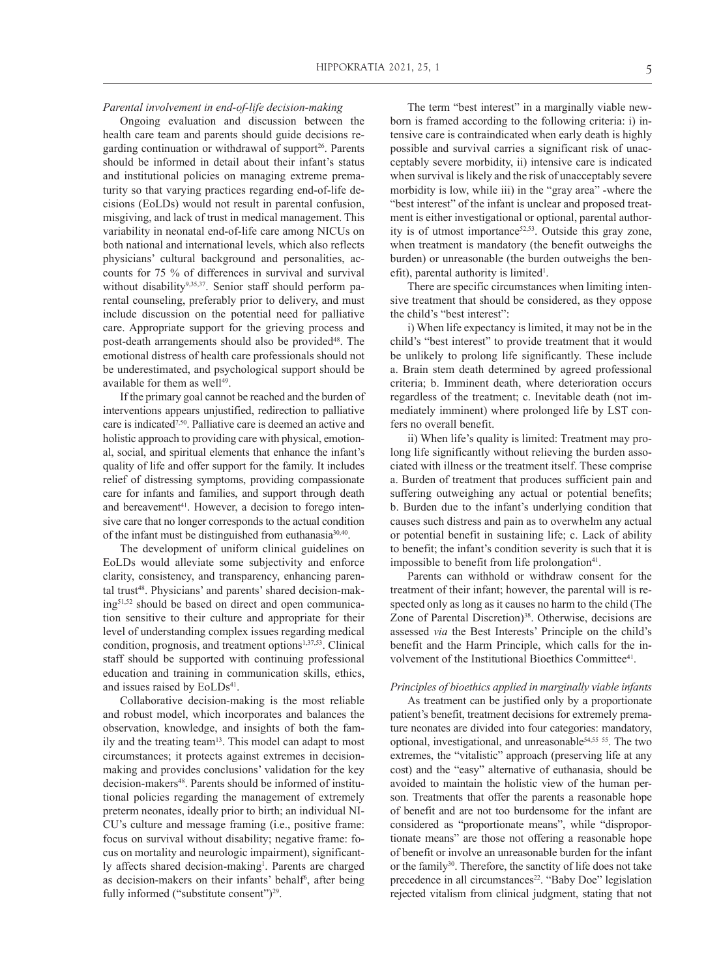*Parental involvement in end-of-life decision-making* 

Ongoing evaluation and discussion between the health care team and parents should guide decisions regarding continuation or withdrawal of support<sup>26</sup>. Parents should be informed in detail about their infant's status and institutional policies on managing extreme prematurity so that varying practices regarding end-of-life decisions (EoLDs) would not result in parental confusion, misgiving, and lack of trust in medical management. This variability in neonatal end-of-life care among NICUs on both national and international levels, which also reflects physicians' cultural background and personalities, accounts for 75 % of differences in survival and survival without disability<sup>9,35,37</sup>. Senior staff should perform parental counseling, preferably prior to delivery, and must include discussion on the potential need for palliative care. Appropriate support for the grieving process and post-death arrangements should also be provided<sup>48</sup>. The emotional distress of health care professionals should not be underestimated, and psychological support should be available for them as well<sup>49</sup>.

If the primary goal cannot be reached and the burden of interventions appears unjustified, redirection to palliative care is indicated7,50. Palliative care is deemed an active and holistic approach to providing care with physical, emotional, social, and spiritual elements that enhance the infant's quality of life and offer support for the family. It includes relief of distressing symptoms, providing compassionate care for infants and families, and support through death and bereavement<sup>41</sup>. However, a decision to forego intensive care that no longer corresponds to the actual condition of the infant must be distinguished from euthanasia<sup>30,40</sup>.

The development of uniform clinical guidelines on EoLDs would alleviate some subjectivity and enforce clarity, consistency, and transparency, enhancing parental trust<sup>48</sup>. Physicians' and parents' shared decision-making51,52 should be based on direct and open communication sensitive to their culture and appropriate for their level of understanding complex issues regarding medical condition, prognosis, and treatment options<sup>1,37,53</sup>. Clinical staff should be supported with continuing professional education and training in communication skills, ethics, and issues raised by EoLDs<sup>41</sup>.

Collaborative decision-making is the most reliable and robust model, which incorporates and balances the observation, knowledge, and insights of both the family and the treating team<sup>13</sup>. This model can adapt to most circumstances; it protects against extremes in decisionmaking and provides conclusions' validation for the key decision-makers<sup>48</sup>. Parents should be informed of institutional policies regarding the management of extremely preterm neonates, ideally prior to birth; an individual NI-CU's culture and message framing (i.e., positive frame: focus on survival without disability; negative frame: focus on mortality and neurologic impairment), significantly affects shared decision-making<sup>1</sup>. Parents are charged as decision-makers on their infants' behalf<sup>6</sup>, after being fully informed ("substitute consent")<sup>29</sup>.

The term "best interest" in a marginally viable newborn is framed according to the following criteria: i) intensive care is contraindicated when early death is highly possible and survival carries a significant risk of unacceptably severe morbidity, ii) intensive care is indicated when survival is likely and the risk of unacceptably severe morbidity is low, while iii) in the "gray area" -where the "best interest" of the infant is unclear and proposed treatment is either investigational or optional, parental authority is of utmost importance<sup> $52,53$ </sup>. Outside this gray zone, when treatment is mandatory (the benefit outweighs the burden) or unreasonable (the burden outweighs the benefit), parental authority is limited<sup>1</sup>.

There are specific circumstances when limiting intensive treatment that should be considered, as they oppose the child's "best interest":

i) When life expectancy is limited, it may not be in the child's "best interest" to provide treatment that it would be unlikely to prolong life significantly. These include a. Brain stem death determined by agreed professional criteria; b. Imminent death, where deterioration occurs regardless of the treatment; c. Inevitable death (not immediately imminent) where prolonged life by LST confers no overall benefit.

ii) When life's quality is limited: Treatment may prolong life significantly without relieving the burden associated with illness or the treatment itself. These comprise a. Burden of treatment that produces sufficient pain and suffering outweighing any actual or potential benefits; b. Burden due to the infant's underlying condition that causes such distress and pain as to overwhelm any actual or potential benefit in sustaining life; c. Lack of ability to benefit; the infant's condition severity is such that it is impossible to benefit from life prolongation<sup>41</sup>.

Parents can withhold or withdraw consent for the treatment of their infant; however, the parental will is respected only as long as it causes no harm to the child (The Zone of Parental Discretion)<sup>38</sup>. Otherwise, decisions are assessed *via* the Best Interests' Principle on the child's benefit and the Harm Principle, which calls for the involvement of the Institutional Bioethics Committee<sup>41</sup>.

## *Principles of bioethics applied in marginally viable infants*

As treatment can be justified only by a proportionate patient's benefit, treatment decisions for extremely premature neonates are divided into four categories: mandatory, optional, investigational, and unreasonable<sup>54,55</sup> <sup>55</sup>. The two extremes, the "vitalistic" approach (preserving life at any cost) and the "easy" alternative of euthanasia, should be avoided to maintain the holistic view of the human person. Treatments that offer the parents a reasonable hope of benefit and are not too burdensome for the infant are considered as "proportionate means", while "disproportionate means" are those not offering a reasonable hope of benefit or involve an unreasonable burden for the infant or the family<sup>30</sup>. Therefore, the sanctity of life does not take precedence in all circumstances<sup>22</sup>. "Baby Doe" legislation rejected vitalism from clinical judgment, stating that not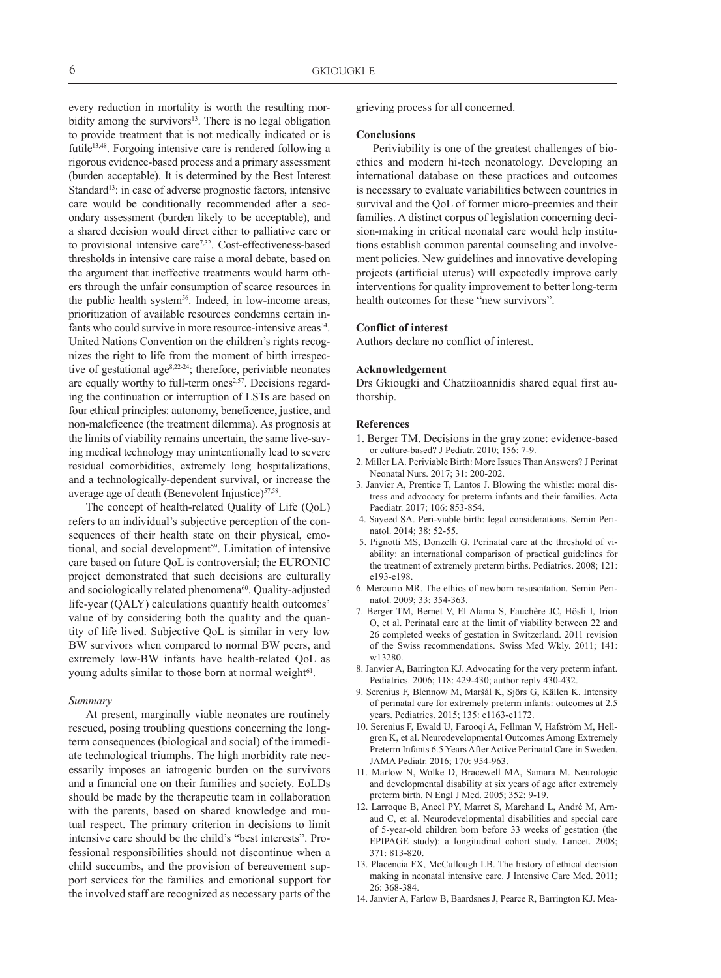every reduction in mortality is worth the resulting morbidity among the survivors $13$ . There is no legal obligation to provide treatment that is not medically indicated or is futile<sup>13,48</sup>. Forgoing intensive care is rendered following a rigorous evidence-based process and a primary assessment (burden acceptable). It is determined by the Best Interest Standard<sup>13</sup>: in case of adverse prognostic factors, intensive care would be conditionally recommended after a secondary assessment (burden likely to be acceptable), and a shared decision would direct either to palliative care or to provisional intensive care<sup>7,32</sup>. Cost-effectiveness-based thresholds in intensive care raise a moral debate, based on the argument that ineffective treatments would harm others through the unfair consumption of scarce resources in the public health system<sup>56</sup>. Indeed, in low-income areas, prioritization of available resources condemns certain infants who could survive in more resource-intensive areas<sup>34</sup>. United Nations Convention on the children's rights recognizes the right to life from the moment of birth irrespective of gestational age8,22-24; therefore, periviable neonates are equally worthy to full-term ones<sup>2,57</sup>. Decisions regarding the continuation or interruption of LSTs are based on four ethical principles: autonomy, beneficence, justice, and non-maleficence (the treatment dilemma). As prognosis at the limits of viability remains uncertain, the same live-saving medical technology may unintentionally lead to severe residual comorbidities, extremely long hospitalizations, and a technologically-dependent survival, or increase the average age of death (Benevolent Injustice)<sup>57,58</sup>.

The concept of health-related Quality of Life (QoL) refers to an individual's subjective perception of the consequences of their health state on their physical, emotional, and social development<sup>59</sup>. Limitation of intensive care based on future QoL is controversial; the EURONIC project demonstrated that such decisions are culturally and sociologically related phenomena<sup>60</sup>. Quality-adjusted life-year (QALY) calculations quantify health outcomes' value of by considering both the quality and the quantity of life lived. Subjective QoL is similar in very low BW survivors when compared to normal BW peers, and extremely low-BW infants have health-related QoL as young adults similar to those born at normal weight<sup>61</sup>.

#### *Summary*

At present, marginally viable neonates are routinely rescued, posing troubling questions concerning the longterm consequences (biological and social) of the immediate technological triumphs. The high morbidity rate necessarily imposes an iatrogenic burden on the survivors and a financial one on their families and society. EoLDs should be made by the therapeutic team in collaboration with the parents, based on shared knowledge and mutual respect. The primary criterion in decisions to limit intensive care should be the child's "best interests". Professional responsibilities should not discontinue when a child succumbs, and the provision of bereavement support services for the families and emotional support for the involved staff are recognized as necessary parts of the

grieving process for all concerned.

#### **Conclusions**

Periviability is one of the greatest challenges of bioethics and modern hi-tech neonatology. Developing an international database on these practices and outcomes is necessary to evaluate variabilities between countries in survival and the QoL of former micro-preemies and their families. A distinct corpus of legislation concerning decision-making in critical neonatal care would help institutions establish common parental counseling and involvement policies. New guidelines and innovative developing projects (artificial uterus) will expectedly improve early interventions for quality improvement to better long-term health outcomes for these "new survivors".

#### **Conflict of interest**

Authors declare no conflict of interest.

## **Acknowledgement**

Drs Gkiougki and Chatziioannidis shared equal first authorship.

## **References**

- 1. Berger TM. Decisions in the gray zone: evidence-based or culture-based? J Pediatr. 2010; 156: 7-9.
- 2. Miller LA. Periviable Birth: More Issues Than Answers? J Perinat Neonatal Nurs. 2017; 31: 200-202.
- 3. Janvier A, Prentice T, Lantos J. Blowing the whistle: moral distress and advocacy for preterm infants and their families. Acta Paediatr. 2017; 106: 853-854.
- 4. Sayeed SA. Peri-viable birth: legal considerations. Semin Perinatol. 2014; 38: 52-55.
- 5. Pignotti MS, Donzelli G. Perinatal care at the threshold of viability: an international comparison of practical guidelines for the treatment of extremely preterm births. Pediatrics. 2008; 121: e193-e198.
- 6. Mercurio MR. The ethics of newborn resuscitation. Semin Perinatol. 2009; 33: 354-363.
- 7. Berger TM, Bernet V, El Alama S, Fauchère JC, Hösli I, Irion O, et al. Perinatal care at the limit of viability between 22 and 26 completed weeks of gestation in Switzerland. 2011 revision of the Swiss recommendations. Swiss Med Wkly. 2011; 141: w13280.
- 8. Janvier A, Barrington KJ. Advocating for the very preterm infant. Pediatrics. 2006; 118: 429-430; author reply 430-432.
- 9. Serenius F, Blennow M, Maršál K, Sjörs G, Källen K. Intensity of perinatal care for extremely preterm infants: outcomes at 2.5 years. Pediatrics. 2015; 135: e1163-e1172.
- 10. Serenius F, Ewald U, Farooqi A, Fellman V, Hafström M, Hellgren K, et al. Neurodevelopmental Outcomes Among Extremely Preterm Infants 6.5 Years After Active Perinatal Care in Sweden. JAMA Pediatr. 2016; 170: 954-963.
- 11. Marlow N, Wolke D, Bracewell MA, Samara M. Neurologic and developmental disability at six years of age after extremely preterm birth. N Engl J Med. 2005; 352: 9-19.
- 12. Larroque B, Ancel PY, Marret S, Marchand L, André M, Arnaud C, et al. Neurodevelopmental disabilities and special care of 5-year-old children born before 33 weeks of gestation (the EPIPAGE study): a longitudinal cohort study. Lancet. 2008; 371: 813-820.
- 13. Placencia FX, McCullough LB. The history of ethical decision making in neonatal intensive care. J Intensive Care Med. 2011; 26: 368-384.
- 14. Janvier A, Farlow B, Baardsnes J, Pearce R, Barrington KJ. Mea-